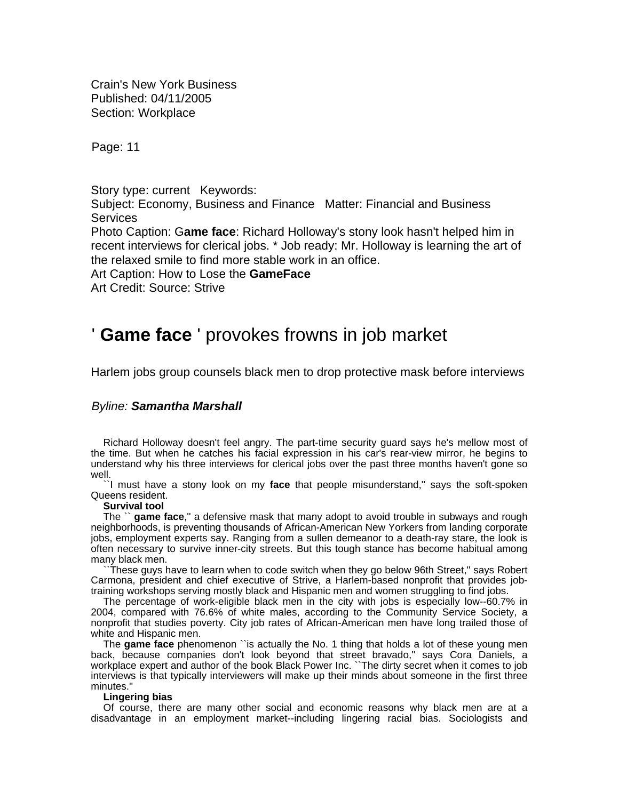Crain's New York Business Published: 04/11/2005 Section: Workplace

Page: 11

Story type: current Keywords:

Subject: Economy, Business and Finance Matter: Financial and Business **Services** 

Photo Caption: G**ame face**: Richard Holloway's stony look hasn't helped him in recent interviews for clerical jobs. \* Job ready: Mr. Holloway is learning the art of the relaxed smile to find more stable work in an office.

Art Caption: How to Lose the **GameFace** 

Art Credit: Source: Strive

# ' **Game face** ' provokes frowns in job market

Harlem jobs group counsels black men to drop protective mask before interviews

# *Byline: Samantha Marshall*

Richard Holloway doesn't feel angry. The part-time security guard says he's mellow most of the time. But when he catches his facial expression in his car's rear-view mirror, he begins to understand why his three interviews for clerical jobs over the past three months haven't gone so well.

``I must have a stony look on my **face** that people misunderstand,'' says the soft-spoken Queens resident.

### **Survival tool**

The `` **game face**,'' a defensive mask that many adopt to avoid trouble in subways and rough neighborhoods, is preventing thousands of African-American New Yorkers from landing corporate jobs, employment experts say. Ranging from a sullen demeanor to a death-ray stare, the look is often necessary to survive inner-city streets. But this tough stance has become habitual among many black men.

``These guys have to learn when to code switch when they go below 96th Street,'' says Robert Carmona, president and chief executive of Strive, a Harlem-based nonprofit that provides jobtraining workshops serving mostly black and Hispanic men and women struggling to find jobs.

The percentage of work-eligible black men in the city with jobs is especially low--60.7% in 2004, compared with 76.6% of white males, according to the Community Service Society, a nonprofit that studies poverty. City job rates of African-American men have long trailed those of white and Hispanic men.

The **game face** phenomenon ``is actually the No. 1 thing that holds a lot of these young men back, because companies don't look beyond that street bravado,'' says Cora Daniels, a workplace expert and author of the book Black Power Inc. ``The dirty secret when it comes to job interviews is that typically interviewers will make up their minds about someone in the first three minutes.''

#### **Lingering bias**

Of course, there are many other social and economic reasons why black men are at a disadvantage in an employment market--including lingering racial bias. Sociologists and